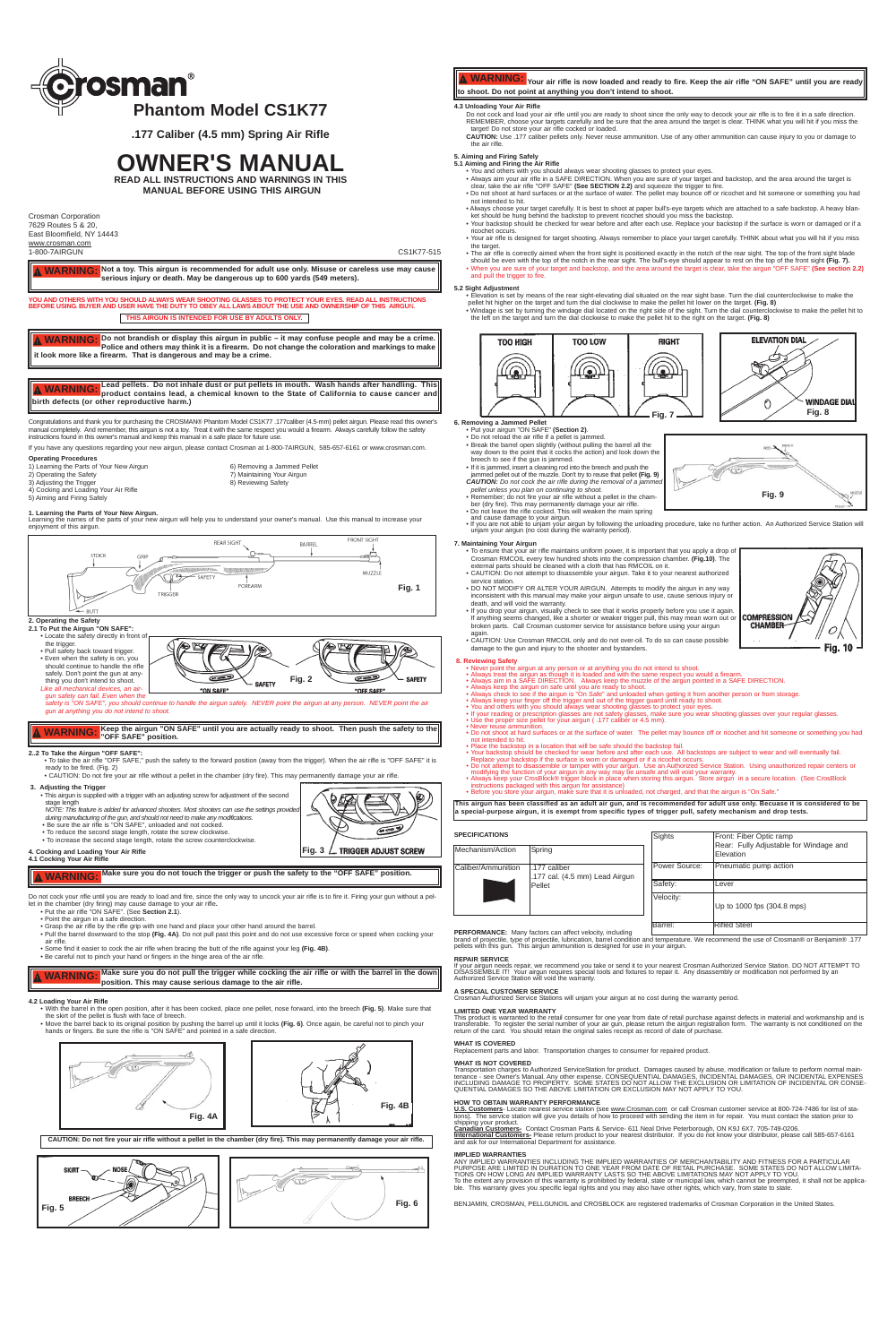Congratulations and thank you for purchasing the CROSMAN® Phantom Model CS1K77 .177caliber (4.5-mm) pellet airgun. Please read this owner's manual completely. And remember, this airgun is not a toy. Treat it with the same respect you would a firearm. Always carefully follow the safety instructions found in this owner's manual and keep this manual in a safe place for future use.

**Operating Procedures** 1) Learning the Parts of Your New Airgun 6) Removing a Jammed Pellet 3) Adjusting the Trigger

2) Operating the Safety **7** Containing Your Airgun 3) Adjusting the Trigger 3) Adjusting the Trigger 3

If you have any questions regarding your new airgun, please contact Crosman at 1-800-7AIRGUN, 585-657-6161 or www.crosman.com.

**1. Learning the Parts of Your New Airgun.**<br>Learning the names of the parts of your new airgun will help you to understand your owner's manual. Use this manual to increase your enjoyment of this airgun.

- 4) Cocking and Loading Your Air Rifle 5) Aiming and Firing Safely
- 
- 

## **2. Operating the Safety**

### **2.1 To Put the Airgun "ON SAFE":** • Locate the safety directly in front of the trigger. (B) • Pull safety back toward trigger. • Even when the safety is on, you should continue to handle the rifle safely. Don't point the gun at any- $\sum$ œ **SAFETY Fig. 2** thing you don't intend to shoot.  $-$  SAFETY *Like all mechanical devices, an air-*"ON SAFE "OFF SAFE" *gun safety can fail. Even when the*

*safety is "ON SAFE", you should continue to handle the airgun safely. NEVER point the airgun at any person. NEVER point the air gun at anything you do not intend to shoot.*

## **2..2 To Take the Airgun "OFF SAFE":**

- To take the air rifle "OFF SAFE," push the safety to the forward position (away from the trigger). When the air rifle is "OFF SAFE" it is ready to be fired. (Fig. 2) • CAUTION: Do not fire your air rifle without a pellet in the chamber (dry fire). This may permanently damage your air rifle.
- **3. Adjusting the Trigger**

• This airgun is supplied with a trigger with an adjusting screw for adjustment of the second stage length

- *NOTE: This feature is added for advanced shooters. Most shooters can use the settings provided*
- *during manufacturing of the gun, and should not need to make any modifications.*  Be sure the air rifle is "ON SAFE", unloaded and not cocked.
- To reduce the second stage length, rotate the screw clockwise. • To increase the second stage length, rotate the screw counterclockwise.
- **4. Cocking and Loading Your Air Rifle 4.1 Cocking Your Air Rifle**

Do not cock your rifle until you are ready to load and fire, since the only way to uncock your air rifle is to fire it. Firing your gun without a pel-

This product is warranted to the retail consumer for one year from date of retail purchase against defects in material and workmanship and is<br>transferable. To register the serial number of your air gun, please return the a return of the card. You should retain the original sales receipt as record of date of purchase.

- let in the chamber (dry firing) may cause damage to your air rifle**.** Put the air rifle "ON SAFE". (See **Section 2.1**).
	- Point the airgun in a safe direction.
- Grasp the air rifle by the rifle grip with one hand and place your other hand around the barrel.
- Pull the barrel downward to the stop **(Fig. 4A)**. Do not pull past this point and do not use excessive force or speed when cocking your
- air rifle. Some find it easier to cock the air rifle when bracing the butt of the rifle against your leg **(Fig. 4B)**.
- Be careful not to pinch your hand or fingers in the hinge area of the air rifle.

## **4.2 Loading Your Air Rifle**

- With the barrel in the open position, after it has been cocked, place one pellet, nose forward, into the breech **(Fig. 5)**. Make sure that
- the skirt of the pellet is flush with face of breech. Move the barrel back to its original position by pushing the barrel up until it locks **(Fig. 6)**. Once again, be careful not to pinch your hands or fingers. Be sure the rifle is "ON SAFE" and pointed in a safe direction.



- **5.1 Aiming and Firing the Air Rifle** You and others with you should always wear shooting glasses to protect your eyes.
	- Always aim your air rifle in a SAFE DIRECTION. When you are sure of your target and backstop, and the area around the target is clear, take the air rifle "OFF SAFE" **(See SECTION 2.2)** and squeeze the trigger to fire.
	- Do not shoot at hard surfaces or at the surface of water. The pellet may bounce off or ricochet and hit someone or something you had not intended to hit. • Always choose your target carefully. It is best to shoot at paper bull's-eye targets which are attached to a safe backstop. A heavy blan-
	- ket should be hung behind the backstop to prevent ricochet should you miss the backstop. • Your backstop should be checked for wear before and after each use. Replace your backstop if the surface is worn or damaged or if a
- ricochet occurs. • Your air rifle is designed for target shooting. Always remember to place your target carefully. THINK about what you will hit if you miss
- the target. • The air rifle is correctly aimed when the front sight is positioned exactly in the notch of the rear sight. The top of the front sight blade
- should be even with the top of the notch in the rear sight. The bull's-eye should appear to rest on the top of the front sight (Fig. 7).<br>• When you are sure of your target and backstop, and the area around the target is cl and pull the trigger to fire.

# **YOU AND OTHERS WITH YOU SHOULD ALWAYS WEAR SHOOTING GLASSES TO PROTECT YOUR EYES. READ ALL INSTRUCTIONS BEFORE USING. BUYER AND USER HAVE THE DUTY TO OBEY ALL LAWS ABOUT THE USE AND OWNERSHIP OF THIS AIRGU**N.

## **INTENDED FOR USE BY ADULTS ONLY.**

**PERFORMANCE:** Many factors can affect velocity, including brand of projectile, type of projectile, lubrication, barrel condition and temperature. We recommend the use of Crosman® or Benjamin® .177 pellets with this gun. This airgun ammunition is designed for use in your airgun.

## **REPAIR SERVICE**

If your airgun needs repair, we recommend you take or send it to your nearest Crosman Authorized Service Station. DO NOT ATTEMPT TO<br>DISASSEMBLE IT! Your airgun requires special tools and fixtures to repair it. Any disasse

• Elevation is set by means of the rear sight-elevating dial situated on the rear sight base. Turn the dial counterclockwise to make the pellet hit higher on the target and turn the dial clockwise to make the pellet hit lower on the target. (Fig. 8)<br>• Windage is set by turning the windage dial located on the right side of the sight. Turn the dial counterclo

## **A SPECIAL CUSTOMER SERVICE**

Crosman Authorized Service Stations will unjam your airgun at no cost during the warranty period.

## **LIMITED ONE YEAR WARRANTY**

### **WHAT IS COVERED**

Replacement parts and labor. Transportation charges to consumer for repaired product.

### **WHAT IS NOT COVERED**

Transportation charges to Authorized ServiceStation for product. Damages caused by abuse, modification or failure to perform normal main-<br>tenance - see Owner's Manual. Any other expense. CONSEQUENTIAL DAMAGES, INCIDENTAL D

## **HOW TO OBTAIN WARRANTY PERFORMANCE**

<u>U.S. Customers</u>- Locate nearest service station (see <u>www.Crosman.com</u> or call Crosman customer service at 800-724-7486 for list of sta-<br>tions). The service station will give you details of how to proceed with sending the tions). The service subshipping your product.

**Canadian Customers-** Contact Crosman Parts & Service- 611 Neal Drive Peterborough, ON K9J 6X7. 705-749-0206.<br><u>International Customers-</u> Please return product to your nearest distributor. If you do not know your distributo

## **IMPLIED WARRANTIES**

ANY IMPLIED WARRANTIES INCLUDING THE IMPLIED WARRANTIES OF MERCHANTABILITY AND FITNESS FOR A PARTICULAR<br>PURPOSE ARE LIMITED IN DURATION TO ONE YEAR FROM DATE OF RETAIL PURCHASE. SOME STATES DO NOT ALLOW LIMITA-<br>TIONS ON H To the extent any provision of this warranty is prohibited by federal, state or municipal law, which cannot be preempted, it shall not be applica-<br>ble. This warranty gives you specific legal rights and you may also have o

## **Keep the airgun "ON SAFE" until you are actually ready to shoot. Then push the safety to the WARNING:** Keep the airgun "ON \tep" for SAFE" position.

BENJAMIN, CROSMAN, PELLGUNOIL and CROSBLOCK are registered trademarks of Crosman Corporation in the United States.

### **4.3 Unloading Your Air Rifle**

WARNING: Your air rifle is now loaded and ready to fire. Keep the air rifle "ON SAFE" until you are ready **to shoot. Do not point at anything you don't intend to shoot.**

- Do not cock and load your air rifle until you are ready to shoot since the only way to decock your air rifle is to fire it in a safe direction. REMEMBER, choose your targets carefully and be sure that the area around the target is clear. THINK what you will hit if you miss the target! Do not store your air rifle cocked or loaded.
- **CAUTION:** Use .177 caliber pellets only. Never reuse ammunition. Use of any other ammunition can cause injury to you or damage to the air rifle.

## **5. Aiming and Firing Safely**





## **5.2 Sight Adjustment**

the left on the target and turn the dial clockwise to make the pellet hit to the right on the target. **(Fig. 8)**

## • Put your airgun "ON SAFE" **(Section 2)**.

- 
- Do not reload the air rifle if a pellet is jammed. Break the barrel open slightly (without pulling the barrel all the way down to the point that it cocks the action) and look down the
- breech to see if the gun is jammed. • If it is jammed, insert a cleaning rod into the breech and push the jammed pellet out of the muzzle. Don't try to reuse that pellet **(Fig. 9)**
- *CAUTION: Do not cock the air rifle during the removal of a jammed pellet unless you plan on continuing to shoot.* • Remember; do not fire your air rifle without a pellet in the cham-
- 
- ber (dry fire). This may permanently damage your air rifle. Do not leave the rifle cocked. This will weaken the main spring
- 

and cause damage to your airgun.<br>● If you are not able to unjam your airgun by following the unloading procedure, take no further action. An Authorized Service Station will<br>■ unjam your airgun (no cost during the warranty

## **7. Maintaining Your Airgun**

- To ensure that your air rifle maintains uniform power, it is important that you apply a drop of Crosman RMCOIL every few hundred shots into the compression chamber. **(Fig.10)**. The
- external parts should be cleaned with a cloth that has RMCOIL on it.
- CAUTION: Do not attempt to disassemble your airgun. Take it to your nearest authorized service station. • DO NOT MODIFY OR ALTER YOUR AIRGUN. Attempts to modify the airgun in any way
- inconsistent with this manual may make your airgun unsafe to use, cause serious injury or death, and will void the warranty.
- If you drop your airgun, visually check to see that it works properly before you use it again. If anything seems changed, like a shorter or weaker trigger pull, this may mean worn out or broken parts. Call Crosman customer service for assistance before using your airgun again
- CAUTION: Use Crosman RMCOIL only and do not over-oil. To do so can cause possible

- 
- 
- 
- 8. Reviewing Safety<br>
 Never point the airgun at any person or at anything you do not intend to shoot.<br>
 Never point the airgun as though it is loaded and with the same respect you would a firearm.<br>
 Always tare it and S
	-
	- If your reading or prescription glasses are not safety glasses, make sure you wear shooting glasses over your regular glasses. Use the proper size pellet for your airgun ( .177 caliber or 4.5 mm).
	- Never reuse ammun
- Do not shoot at hard surfaces or at the surface of water. The pellet may bounce off or ricochet and hit someone or something you had
- 
- 
- not intended to hit.<br>• Place the backstop in a location that will be safe should the backstop fail.<br>• Your backstop should be checked for wear before and after each use. All backstops are subject to wear and will eventuall
- 

damage to the gun and injury to the shooter and bystanders.



Crosman Corporation 7629 Routes 5 & 20, East Bloomfield, NY 14443 www.crosman.com

**Fig. 3**

 $\epsilon$ 

TRIGGER ADJUST SCREW

**This airgun has been classified as an adult air gun, and is recommended for adult use only. Becuase it is considered to be a special-purpose airgun, it is exempt from specific types of trigger pull, safety mechanism and drop tests.**

**Make sure you do not touch the trigger or push the safety to the "OFF SAFE" position. WARNING:**

1-800-7AIRGUN CS1K77-515 **Not a toy. This airgun is recommended for adult use only. Misuse or careless use may cause serious injury or death. May be dangerous up to 600 yards (549 meters). WARNING:**

**CAUTION: Do not fire your air rifle without a pellet in the chamber (dry fire). This may permanently damage your air rifle.**









**.177 Caliber (4.5 mm) Spring Air Rifle**

### **Make sure you do not pull the trigger while cocking the air rifle or with the barrel in the down position. This may cause serious damage to the air rifle. WARNING:**

# **OWNER'S MANUAL**

**READ ALL INSTRUCTIONS AND WARNINGS IN THIS MANUAL BEFORE USING THIS AIRGUN**

**Do not brandish or display this airgun in public – it may confuse people and may be a crime. WARNING: Police and others may think it is a firearm. Do not change the coloration and markings to make it look more like a firearm. That is dangerous and may be a crime.**

**Lead pellets. Do not inhale dust or put pellets in mouth. Wash hands after handling. This product contains lead, a chemical known to the State of California to cause cancer and birth defects (or other reproductive harm.) WARNING:**



**Fig. 9**

- **CHAMBER** 
	- **Fig. 10**